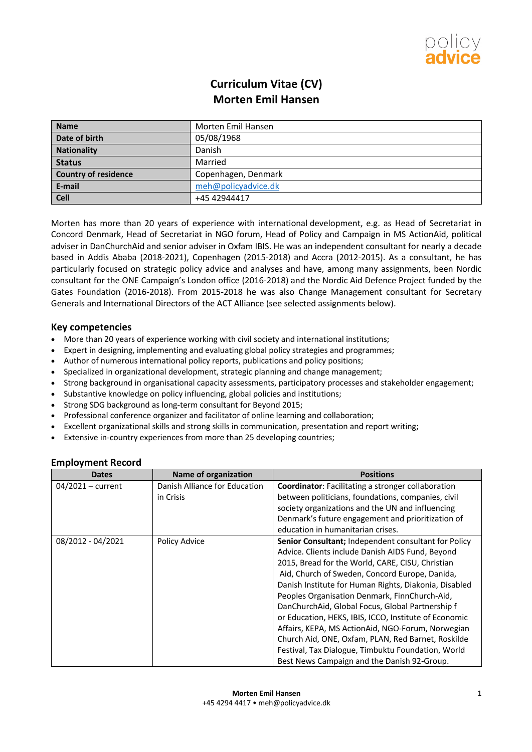

# **Curriculum Vitae (CV) Morten Emil Hansen**

| <b>Name</b>                 | Morten Emil Hansen  |
|-----------------------------|---------------------|
| Date of birth               | 05/08/1968          |
| <b>Nationality</b>          | Danish              |
| <b>Status</b>               | Married             |
| <b>Country of residence</b> | Copenhagen, Denmark |
| E-mail                      | meh@policyadvice.dk |
| <b>Cell</b>                 | +45 42944417        |

Morten has more than 20 years of experience with international development, e.g. as Head of Secretariat in Concord Denmark, Head of Secretariat in NGO forum, Head of Policy and Campaign in MS ActionAid, political adviser in DanChurchAid and senior adviser in Oxfam IBIS. He was an independent consultant for nearly a decade based in Addis Ababa (2018-2021), Copenhagen (2015-2018) and Accra (2012-2015). As a consultant, he has particularly focused on strategic policy advice and analyses and have, among many assignments, been Nordic consultant for the ONE Campaign's London office (2016-2018) and the Nordic Aid Defence Project funded by the Gates Foundation (2016-2018). From 2015-2018 he was also Change Management consultant for Secretary Generals and International Directors of the ACT Alliance (see selected assignments below).

#### **Key competencies**

- More than 20 years of experience working with civil society and international institutions;
- Expert in designing, implementing and evaluating global policy strategies and programmes;
- Author of numerous international policy reports, publications and policy positions;
- Specialized in organizational development, strategic planning and change management;
- Strong background in organisational capacity assessments, participatory processes and stakeholder engagement;
- Substantive knowledge on policy influencing, global policies and institutions;
- Strong SDG background as long-term consultant for Beyond 2015;
- Professional conference organizer and facilitator of online learning and collaboration;
- Excellent organizational skills and strong skills in communication, presentation and report writing;
- Extensive in-country experiences from more than 25 developing countries;

| <b>Dates</b>        | <b>Name of organization</b>   | <b>Positions</b>                                          |
|---------------------|-------------------------------|-----------------------------------------------------------|
| $04/2021$ – current | Danish Alliance for Education | <b>Coordinator:</b> Facilitating a stronger collaboration |
|                     | in Crisis                     | between politicians, foundations, companies, civil        |
|                     |                               | society organizations and the UN and influencing          |
|                     |                               | Denmark's future engagement and prioritization of         |
|                     |                               | education in humanitarian crises.                         |
| 08/2012 - 04/2021   | Policy Advice                 | Senior Consultant; Independent consultant for Policy      |
|                     |                               | Advice. Clients include Danish AIDS Fund, Beyond          |
|                     |                               | 2015, Bread for the World, CARE, CISU, Christian          |
|                     |                               | Aid, Church of Sweden, Concord Europe, Danida,            |
|                     |                               | Danish Institute for Human Rights, Diakonia, Disabled     |
|                     |                               | Peoples Organisation Denmark, FinnChurch-Aid,             |
|                     |                               | DanChurchAid, Global Focus, Global Partnership f          |
|                     |                               | or Education, HEKS, IBIS, ICCO, Institute of Economic     |
|                     |                               | Affairs, KEPA, MS ActionAid, NGO-Forum, Norwegian         |
|                     |                               | Church Aid, ONE, Oxfam, PLAN, Red Barnet, Roskilde        |
|                     |                               | Festival, Tax Dialogue, Timbuktu Foundation, World        |
|                     |                               | Best News Campaign and the Danish 92-Group.               |

### **Employment Record**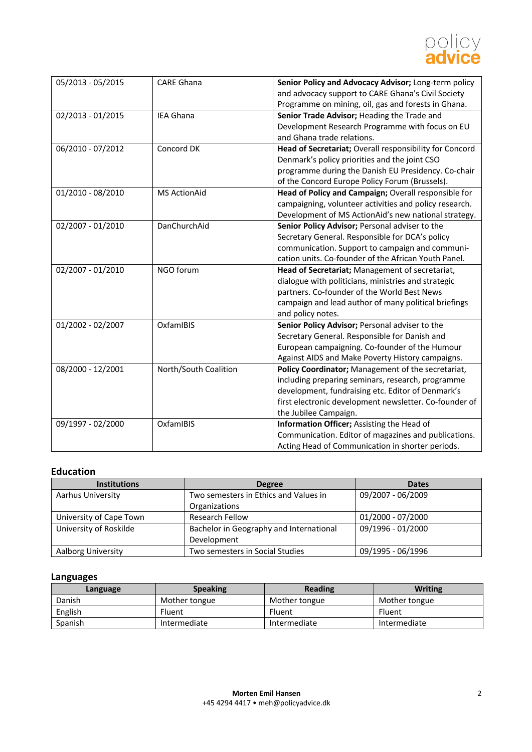

| 05/2013 - 05/2015 | <b>CARE Ghana</b>     | Senior Policy and Advocacy Advisor; Long-term policy    |
|-------------------|-----------------------|---------------------------------------------------------|
|                   |                       | and advocacy support to CARE Ghana's Civil Society      |
|                   |                       | Programme on mining, oil, gas and forests in Ghana.     |
| 02/2013 - 01/2015 | <b>IEA Ghana</b>      | Senior Trade Advisor; Heading the Trade and             |
|                   |                       | Development Research Programme with focus on EU         |
|                   |                       | and Ghana trade relations.                              |
| 06/2010 - 07/2012 | Concord DK            | Head of Secretariat; Overall responsibility for Concord |
|                   |                       | Denmark's policy priorities and the joint CSO           |
|                   |                       | programme during the Danish EU Presidency. Co-chair     |
|                   |                       | of the Concord Europe Policy Forum (Brussels).          |
| 01/2010 - 08/2010 | <b>MS ActionAid</b>   | Head of Policy and Campaign; Overall responsible for    |
|                   |                       | campaigning, volunteer activities and policy research.  |
|                   |                       | Development of MS ActionAid's new national strategy.    |
| 02/2007 - 01/2010 | DanChurchAid          | Senior Policy Advisor; Personal adviser to the          |
|                   |                       | Secretary General. Responsible for DCA's policy         |
|                   |                       | communication. Support to campaign and communi-         |
|                   |                       | cation units. Co-founder of the African Youth Panel.    |
| 02/2007 - 01/2010 | NGO forum             | Head of Secretariat; Management of secretariat,         |
|                   |                       | dialogue with politicians, ministries and strategic     |
|                   |                       | partners. Co-founder of the World Best News             |
|                   |                       | campaign and lead author of many political briefings    |
|                   |                       | and policy notes.                                       |
| 01/2002 - 02/2007 | OxfamIBIS             | Senior Policy Advisor; Personal adviser to the          |
|                   |                       | Secretary General. Responsible for Danish and           |
|                   |                       | European campaigning. Co-founder of the Humour          |
|                   |                       | Against AIDS and Make Poverty History campaigns.        |
| 08/2000 - 12/2001 | North/South Coalition | Policy Coordinator; Management of the secretariat,      |
|                   |                       | including preparing seminars, research, programme       |
|                   |                       | development, fundraising etc. Editor of Denmark's       |
|                   |                       | first electronic development newsletter. Co-founder of  |
|                   |                       | the Jubilee Campaign.                                   |
| 09/1997 - 02/2000 | OxfamIBIS             | Information Officer; Assisting the Head of              |
|                   |                       | Communication. Editor of magazines and publications.    |
|                   |                       | Acting Head of Communication in shorter periods.        |

### **Education**

| <b>Institutions</b>     | <b>Degree</b>                           | <b>Dates</b>      |
|-------------------------|-----------------------------------------|-------------------|
| Aarhus University       | Two semesters in Ethics and Values in   | 09/2007 - 06/2009 |
|                         | Organizations                           |                   |
| University of Cape Town | <b>Research Fellow</b>                  | 01/2000 - 07/2000 |
| University of Roskilde  | Bachelor in Geography and International | 09/1996 - 01/2000 |
|                         | Development                             |                   |
| Aalborg University      | Two semesters in Social Studies         | 09/1995 - 06/1996 |

### **Languages**

| Language | <b>Speaking</b> | Reading       | <b>Writing</b> |
|----------|-----------------|---------------|----------------|
| Danish   | Mother tongue   | Mother tongue | Mother tongue  |
| English  | Fluent          | <b>Fluent</b> | Fluent         |
| Spanish  | Intermediate    | Intermediate  | Intermediate   |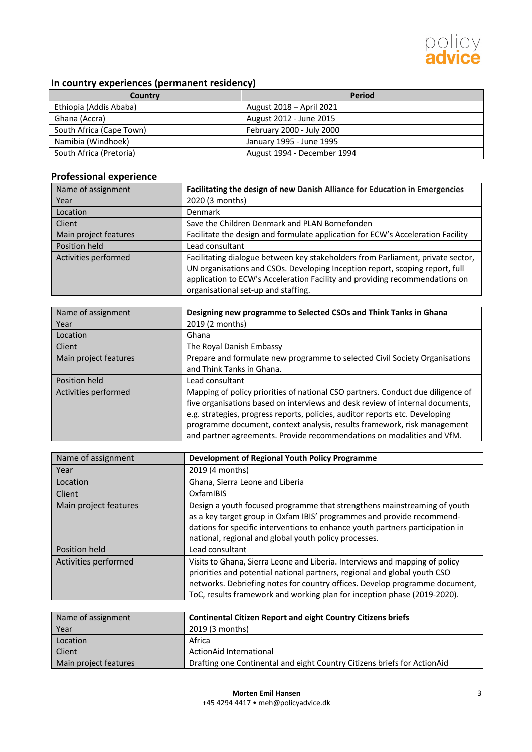

# **In country experiences (permanent residency)**

| Country                  | <b>Period</b>               |
|--------------------------|-----------------------------|
| Ethiopia (Addis Ababa)   | August 2018 - April 2021    |
| Ghana (Accra)            | August 2012 - June 2015     |
| South Africa (Cape Town) | February 2000 - July 2000   |
| Namibia (Windhoek)       | January 1995 - June 1995    |
| South Africa (Pretoria)  | August 1994 - December 1994 |

# **Professional experience**

| Name of assignment    | Facilitating the design of new Danish Alliance for Education in Emergencies                                                                                                                                                                                                           |
|-----------------------|---------------------------------------------------------------------------------------------------------------------------------------------------------------------------------------------------------------------------------------------------------------------------------------|
| Year                  | 2020 (3 months)                                                                                                                                                                                                                                                                       |
| Location              | <b>Denmark</b>                                                                                                                                                                                                                                                                        |
| Client                | Save the Children Denmark and PLAN Bornefonden                                                                                                                                                                                                                                        |
| Main project features | Facilitate the design and formulate application for ECW's Acceleration Facility                                                                                                                                                                                                       |
| Position held         | Lead consultant                                                                                                                                                                                                                                                                       |
| Activities performed  | Facilitating dialogue between key stakeholders from Parliament, private sector,<br>UN organisations and CSOs. Developing Inception report, scoping report, full<br>application to ECW's Acceleration Facility and providing recommendations on<br>organisational set-up and staffing. |

| Name of assignment    | Designing new programme to Selected CSOs and Think Tanks in Ghana                                                                                                                                                                                                                                                                                                                                      |
|-----------------------|--------------------------------------------------------------------------------------------------------------------------------------------------------------------------------------------------------------------------------------------------------------------------------------------------------------------------------------------------------------------------------------------------------|
| Year                  | 2019 (2 months)                                                                                                                                                                                                                                                                                                                                                                                        |
| Location              | Ghana                                                                                                                                                                                                                                                                                                                                                                                                  |
| Client                | The Royal Danish Embassy                                                                                                                                                                                                                                                                                                                                                                               |
| Main project features | Prepare and formulate new programme to selected Civil Society Organisations                                                                                                                                                                                                                                                                                                                            |
|                       | and Think Tanks in Ghana.                                                                                                                                                                                                                                                                                                                                                                              |
| Position held         | Lead consultant                                                                                                                                                                                                                                                                                                                                                                                        |
| Activities performed  | Mapping of policy priorities of national CSO partners. Conduct due diligence of<br>five organisations based on interviews and desk review of internal documents,<br>e.g. strategies, progress reports, policies, auditor reports etc. Developing<br>programme document, context analysis, results framework, risk management<br>and partner agreements. Provide recommendations on modalities and VfM. |

| Name of assignment    | Development of Regional Youth Policy Programme                                                                                                                                                                                                                                                                      |
|-----------------------|---------------------------------------------------------------------------------------------------------------------------------------------------------------------------------------------------------------------------------------------------------------------------------------------------------------------|
| Year                  | 2019 (4 months)                                                                                                                                                                                                                                                                                                     |
| Location              | Ghana, Sierra Leone and Liberia                                                                                                                                                                                                                                                                                     |
| Client                | OxfamIBIS                                                                                                                                                                                                                                                                                                           |
| Main project features | Design a youth focused programme that strengthens mainstreaming of youth<br>as a key target group in Oxfam IBIS' programmes and provide recommend-<br>dations for specific interventions to enhance youth partners participation in<br>national, regional and global youth policy processes.                        |
| Position held         | Lead consultant                                                                                                                                                                                                                                                                                                     |
| Activities performed  | Visits to Ghana, Sierra Leone and Liberia. Interviews and mapping of policy<br>priorities and potential national partners, regional and global youth CSO<br>networks. Debriefing notes for country offices. Develop programme document,<br>ToC, results framework and working plan for inception phase (2019-2020). |

| Name of assignment    | <b>Continental Citizen Report and eight Country Citizens briefs</b>      |
|-----------------------|--------------------------------------------------------------------------|
| Year                  | 2019 (3 months)                                                          |
| Location              | Africa                                                                   |
| Client                | ActionAid International                                                  |
| Main project features | Drafting one Continental and eight Country Citizens briefs for ActionAid |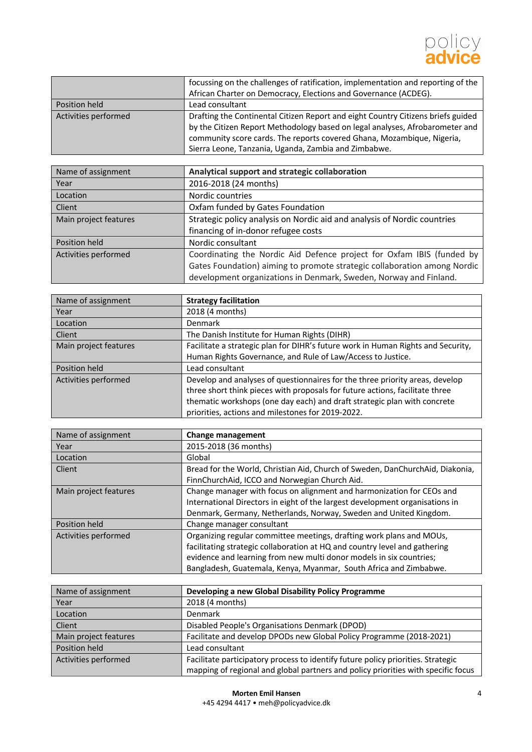

|                      | focussing on the challenges of ratification, implementation and reporting of the                                                                                                                                                                                                                   |
|----------------------|----------------------------------------------------------------------------------------------------------------------------------------------------------------------------------------------------------------------------------------------------------------------------------------------------|
|                      | African Charter on Democracy, Elections and Governance (ACDEG).                                                                                                                                                                                                                                    |
| Position held        | Lead consultant                                                                                                                                                                                                                                                                                    |
| Activities performed | Drafting the Continental Citizen Report and eight Country Citizens briefs guided<br>by the Citizen Report Methodology based on legal analyses, Afrobarometer and<br>community score cards. The reports covered Ghana, Mozambique, Nigeria,<br>Sierra Leone, Tanzania, Uganda, Zambia and Zimbabwe. |

| Name of assignment    | Analytical support and strategic collaboration                           |
|-----------------------|--------------------------------------------------------------------------|
| Year                  | 2016-2018 (24 months)                                                    |
| Location              | Nordic countries                                                         |
| Client                | Oxfam funded by Gates Foundation                                         |
| Main project features | Strategic policy analysis on Nordic aid and analysis of Nordic countries |
|                       | financing of in-donor refugee costs                                      |
| Position held         | Nordic consultant                                                        |
| Activities performed  | Coordinating the Nordic Aid Defence project for Oxfam IBIS (funded by    |
|                       | Gates Foundation) aiming to promote strategic collaboration among Nordic |
|                       | development organizations in Denmark, Sweden, Norway and Finland.        |

| Name of assignment    | <b>Strategy facilitation</b>                                                                                                                                 |
|-----------------------|--------------------------------------------------------------------------------------------------------------------------------------------------------------|
| Year                  | 2018 (4 months)                                                                                                                                              |
| Location              | <b>Denmark</b>                                                                                                                                               |
| Client                | The Danish Institute for Human Rights (DIHR)                                                                                                                 |
| Main project features | Facilitate a strategic plan for DIHR's future work in Human Rights and Security,                                                                             |
|                       | Human Rights Governance, and Rule of Law/Access to Justice.                                                                                                  |
| Position held         | Lead consultant                                                                                                                                              |
| Activities performed  | Develop and analyses of questionnaires for the three priority areas, develop<br>three short think pieces with proposals for future actions, facilitate three |
|                       | thematic workshops (one day each) and draft strategic plan with concrete                                                                                     |
|                       | priorities, actions and milestones for 2019-2022.                                                                                                            |

| Name of assignment    | <b>Change management</b>                                                      |
|-----------------------|-------------------------------------------------------------------------------|
| Year                  | 2015-2018 (36 months)                                                         |
| Location              | Global                                                                        |
| Client                | Bread for the World, Christian Aid, Church of Sweden, DanChurchAid, Diakonia, |
|                       | FinnChurchAid, ICCO and Norwegian Church Aid.                                 |
| Main project features | Change manager with focus on alignment and harmonization for CEOs and         |
|                       | International Directors in eight of the largest development organisations in  |
|                       | Denmark, Germany, Netherlands, Norway, Sweden and United Kingdom.             |
| Position held         | Change manager consultant                                                     |
| Activities performed  | Organizing regular committee meetings, drafting work plans and MOUs,          |
|                       | facilitating strategic collaboration at HQ and country level and gathering    |
|                       | evidence and learning from new multi donor models in six countries;           |
|                       | Bangladesh, Guatemala, Kenya, Myanmar, South Africa and Zimbabwe.             |

| Name of assignment    | Developing a new Global Disability Policy Programme                                                                                                                   |
|-----------------------|-----------------------------------------------------------------------------------------------------------------------------------------------------------------------|
| Year                  | 2018 (4 months)                                                                                                                                                       |
| Location              | <b>Denmark</b>                                                                                                                                                        |
| Client                | Disabled People's Organisations Denmark (DPOD)                                                                                                                        |
| Main project features | Facilitate and develop DPODs new Global Policy Programme (2018-2021)                                                                                                  |
| Position held         | Lead consultant                                                                                                                                                       |
| Activities performed  | Facilitate participatory process to identify future policy priorities. Strategic<br>mapping of regional and global partners and policy priorities with specific focus |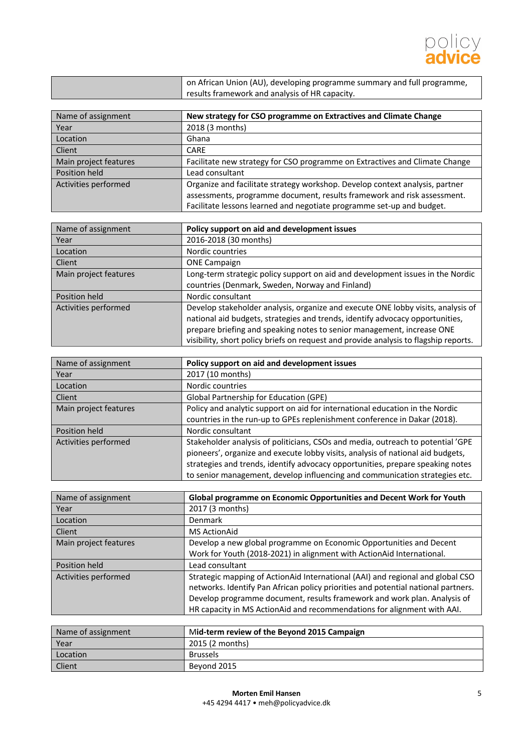

| on African Union (AU), developing programme summary and full programme, |
|-------------------------------------------------------------------------|
| results framework and analysis of HR capacity.                          |

| Name of assignment    | New strategy for CSO programme on Extractives and Climate Change             |
|-----------------------|------------------------------------------------------------------------------|
| Year                  | 2018 (3 months)                                                              |
| Location              | Ghana                                                                        |
| Client                | <b>CARE</b>                                                                  |
| Main project features | Facilitate new strategy for CSO programme on Extractives and Climate Change  |
| Position held         | Lead consultant                                                              |
| Activities performed  | Organize and facilitate strategy workshop. Develop context analysis, partner |
|                       | assessments, programme document, results framework and risk assessment.      |
|                       | Facilitate lessons learned and negotiate programme set-up and budget.        |

| Name of assignment    | Policy support on aid and development issues                                                                                                                                                                                                                                                                                        |
|-----------------------|-------------------------------------------------------------------------------------------------------------------------------------------------------------------------------------------------------------------------------------------------------------------------------------------------------------------------------------|
| Year                  | 2016-2018 (30 months)                                                                                                                                                                                                                                                                                                               |
| Location              | Nordic countries                                                                                                                                                                                                                                                                                                                    |
| Client                | <b>ONE Campaign</b>                                                                                                                                                                                                                                                                                                                 |
| Main project features | Long-term strategic policy support on aid and development issues in the Nordic<br>countries (Denmark, Sweden, Norway and Finland)                                                                                                                                                                                                   |
| Position held         | Nordic consultant                                                                                                                                                                                                                                                                                                                   |
| Activities performed  | Develop stakeholder analysis, organize and execute ONE lobby visits, analysis of<br>national aid budgets, strategies and trends, identify advocacy opportunities,<br>prepare briefing and speaking notes to senior management, increase ONE<br>visibility, short policy briefs on request and provide analysis to flagship reports. |

| Name of assignment    | Policy support on aid and development issues                                    |
|-----------------------|---------------------------------------------------------------------------------|
| Year                  | 2017 (10 months)                                                                |
| Location              | Nordic countries                                                                |
| Client                | <b>Global Partnership for Education (GPE)</b>                                   |
| Main project features | Policy and analytic support on aid for international education in the Nordic    |
|                       | countries in the run-up to GPEs replenishment conference in Dakar (2018).       |
| Position held         | Nordic consultant                                                               |
| Activities performed  | Stakeholder analysis of politicians, CSOs and media, outreach to potential 'GPE |
|                       | pioneers', organize and execute lobby visits, analysis of national aid budgets, |
|                       | strategies and trends, identify advocacy opportunities, prepare speaking notes  |
|                       | to senior management, develop influencing and communication strategies etc.     |

| Name of assignment    | Global programme on Economic Opportunities and Decent Work for Youth              |
|-----------------------|-----------------------------------------------------------------------------------|
| Year                  | 2017 (3 months)                                                                   |
| Location              | <b>Denmark</b>                                                                    |
| Client                | <b>MS ActionAid</b>                                                               |
| Main project features | Develop a new global programme on Economic Opportunities and Decent               |
|                       | Work for Youth (2018-2021) in alignment with ActionAid International.             |
| Position held         | Lead consultant                                                                   |
| Activities performed  | Strategic mapping of ActionAid International (AAI) and regional and global CSO    |
|                       | networks. Identify Pan African policy priorities and potential national partners. |
|                       | Develop programme document, results framework and work plan. Analysis of          |
|                       | HR capacity in MS ActionAid and recommendations for alignment with AAI.           |

| Name of assignment | Mid-term review of the Beyond 2015 Campaign |
|--------------------|---------------------------------------------|
| Year               | 2015 (2 months)                             |
| Location           | Brussels                                    |
| Client             | Bevond 2015                                 |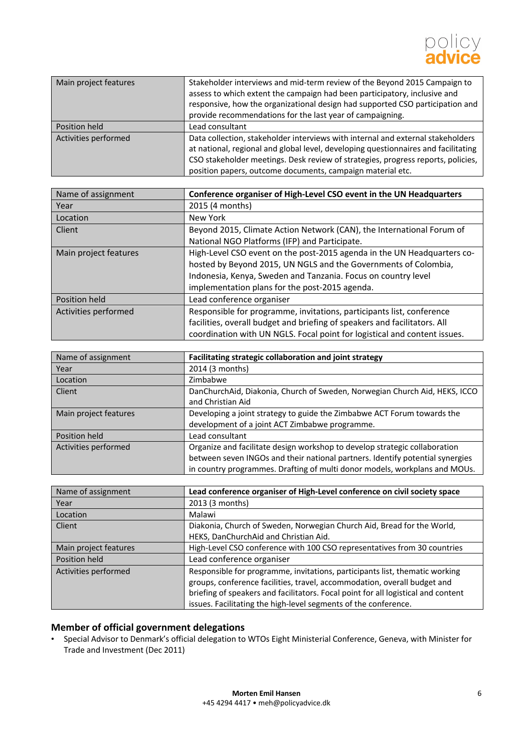

| Main project features | Stakeholder interviews and mid-term review of the Beyond 2015 Campaign to<br>assess to which extent the campaign had been participatory, inclusive and<br>responsive, how the organizational design had supported CSO participation and<br>provide recommendations for the last year of campaigning.                    |
|-----------------------|-------------------------------------------------------------------------------------------------------------------------------------------------------------------------------------------------------------------------------------------------------------------------------------------------------------------------|
| Position held         | Lead consultant                                                                                                                                                                                                                                                                                                         |
| Activities performed  | Data collection, stakeholder interviews with internal and external stakeholders<br>at national, regional and global level, developing questionnaires and facilitating<br>CSO stakeholder meetings. Desk review of strategies, progress reports, policies,<br>position papers, outcome documents, campaign material etc. |

| Name of assignment    | Conference organiser of High-Level CSO event in the UN Headquarters       |
|-----------------------|---------------------------------------------------------------------------|
| Year                  | 2015 (4 months)                                                           |
| Location              | New York                                                                  |
| Client                | Beyond 2015, Climate Action Network (CAN), the International Forum of     |
|                       | National NGO Platforms (IFP) and Participate.                             |
| Main project features | High-Level CSO event on the post-2015 agenda in the UN Headquarters co-   |
|                       | hosted by Beyond 2015, UN NGLS and the Governments of Colombia,           |
|                       | Indonesia, Kenya, Sweden and Tanzania. Focus on country level             |
|                       | implementation plans for the post-2015 agenda.                            |
| Position held         | Lead conference organiser                                                 |
| Activities performed  | Responsible for programme, invitations, participants list, conference     |
|                       | facilities, overall budget and briefing of speakers and facilitators. All |
|                       | coordination with UN NGLS. Focal point for logistical and content issues. |

| Name of assignment    | Facilitating strategic collaboration and joint strategy                       |
|-----------------------|-------------------------------------------------------------------------------|
| Year                  | 2014 (3 months)                                                               |
| Location              | Zimbabwe                                                                      |
| Client                | DanChurchAid, Diakonia, Church of Sweden, Norwegian Church Aid, HEKS, ICCO    |
|                       | and Christian Aid                                                             |
| Main project features | Developing a joint strategy to guide the Zimbabwe ACT Forum towards the       |
|                       | development of a joint ACT Zimbabwe programme.                                |
| Position held         | Lead consultant                                                               |
| Activities performed  | Organize and facilitate design workshop to develop strategic collaboration    |
|                       | between seven INGOs and their national partners. Identify potential synergies |
|                       | in country programmes. Drafting of multi donor models, workplans and MOUs.    |

| Name of assignment    | Lead conference organiser of High-Level conference on civil society space                                                                                                                                                                                                                                       |
|-----------------------|-----------------------------------------------------------------------------------------------------------------------------------------------------------------------------------------------------------------------------------------------------------------------------------------------------------------|
| Year                  | 2013 (3 months)                                                                                                                                                                                                                                                                                                 |
| Location              | Malawi                                                                                                                                                                                                                                                                                                          |
| Client                | Diakonia, Church of Sweden, Norwegian Church Aid, Bread for the World,<br>HEKS, DanChurchAid and Christian Aid.                                                                                                                                                                                                 |
| Main project features | High-Level CSO conference with 100 CSO representatives from 30 countries                                                                                                                                                                                                                                        |
| Position held         | Lead conference organiser                                                                                                                                                                                                                                                                                       |
| Activities performed  | Responsible for programme, invitations, participants list, thematic working<br>groups, conference facilities, travel, accommodation, overall budget and<br>briefing of speakers and facilitators. Focal point for all logistical and content<br>issues. Facilitating the high-level segments of the conference. |

### **Member of official government delegations**

• Special Advisor to Denmark's official delegation to WTOs Eight Ministerial Conference, Geneva, with Minister for Trade and Investment (Dec 2011)